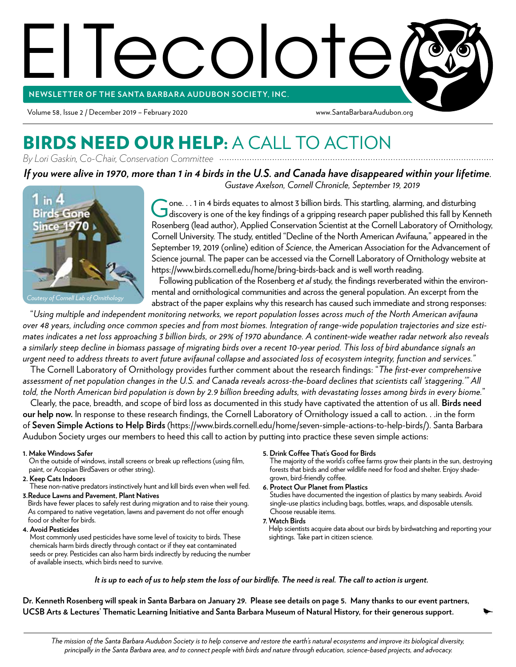# El Tecolote **NEWSLETTER OF THE SANTA BARBAR A AUDUBON SOCIETY, INC.**

Volume 58, Issue 2 / December 2019 – February 2020 www.SantaBarbaraAudubon.org

#### BIRDS NEED OUR HELP: A CALL TO ACTION *By Lori Gaskin, Co-Chair, Conservation Committee*

*If you were alive in 1970, more than 1 in 4 birds in the U.S. and Canada have disappeared within your lifetime.*



*Gustave Axelson, Cornell Chronicle, September 19, 2019*

Gone. . . 1 in 4 birds equates to almost 3 billion birds. This startling, alarming, and disturbing<br>discovery is one of the key findings of a gripping research paper published this fall by Kenneth  $\bullet$  one.  $\ldots$  1 in 4 birds equates to almost 3 billion birds. This startling, alarming, and disturbing Rosenberg (lead author), Applied Conservation Scientist at the Cornell Laboratory of Ornithology, Cornell University. The study, entitled "Decline of the North American Avifauna*,*" appeared in the September 19, 2019 (online) edition of *Science*, the American Association for the Advancement of Science journal. The paper can be accessed via the Cornell Laboratory of Ornithology website at https://www.birds.cornell.edu/home/bring-birds-back and is well worth reading.

Following publication of the Rosenberg *et al* study, the findings reverberated within the environmental and ornithological communities and across the general population. An excerpt from the abstract of the paper explains why this research has caused such immediate and strong responses:

"*Using multiple and independent monitoring networks, we report population losses across much of the North American avifauna over 48 years, including once common species and from most biomes. Integration of range-wide population trajectories and size estimates indicates a net loss approaching 3 billion birds, or 29% of 1970 abundance. A continent-wide weather radar network also reveals a similarly steep decline in biomass passage of migrating birds over a recent 10-year period. This loss of bird abundance signals an urgent need to address threats to avert future avifaunal collapse and associated loss of ecosystem integrity, function and services."*

The Cornell Laboratory of Ornithology provides further comment about the research findings: "*The first-ever comprehensive assessment of net population changes in the U.S. and Canada reveals across-the-board declines that scientists call 'staggering.'" All told, the North American bird population is down by 2.9 billion breeding adults, with devastating losses among birds in every biome.*"

Clearly, the pace, breadth, and scope of bird loss as documented in this study have captivated the attention of us all. **Birds need our help now.** In response to these research findings, the Cornell Laboratory of Ornithology issued a call to action. . .in the form of **Seven Simple Actions to Help Birds** (https://www.birds.cornell.edu/home/seven-simple-actions-to-help-birds/). Santa Barbara Audubon Society urges our members to heed this call to action by putting into practice these seven simple actions:

**1. Make Windows Safer**

On the outside of windows, install screens or break up reflections (using film, paint, or Acopian BirdSavers or other string).

**2. Keep Cats Indoors**

These non-native predators instinctively hunt and kill birds even when well fed. **3. Reduce Lawns and Pavement, Plant Natives**

Birds have fewer places to safely rest during migration and to raise their young. As compared to native vegetation, lawns and pavement do not offer enough food or shelter for birds.

**4. Avoid Pesticides**

Most commonly used pesticides have some level of toxicity to birds. These chemicals harm birds directly through contact or if they eat contaminated seeds or prey. Pesticides can also harm birds indirectly by reducing the number of available insects, which birds need to survive.

**5. Drink Coffee That's Good for Birds**

The majority of the world's coffee farms grow their plants in the sun, destroying forests that birds and other wildlife need for food and shelter. Enjoy shadegrown, bird-friendly coffee.

**6. Protect Our Planet from Plastics**

Studies have documented the ingestion of plastics by many seabirds. Avoid single-use plastics including bags, bottles, wraps, and disposable utensils. Choose reusable items.

#### **7. Watch Birds**

Help scientists acquire data about our birds by birdwatching and reporting your sightings. Take part in citizen science.

*It is up to each of us to help stem the loss of our birdlife. The need is real. The call to action is urgent.* 

**Dr. Kenneth Rosenberg will speak in Santa Barbara on January 29. Please see details on page 5. Many thanks to our event partners, UCSB Arts & Lectures' Thematic Learning Initiative and Santa Barbara Museum of Natural History, for their generous support.**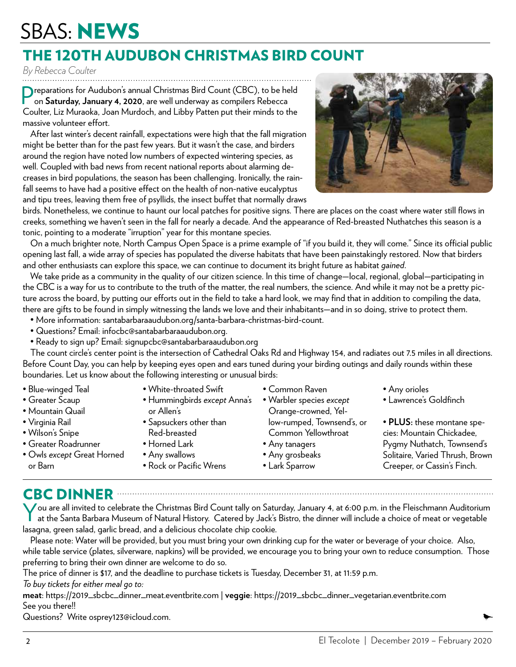## SBAS: NEWS

### THE 120TH AUDUBON CHRISTMAS BIRD COUNT

*By Rebecca Coulter*

**P** reparations for Audubon's annual Christmas Bird Count (CBC), to be held on **Saturday, January 4, 2020**, are well underway as compilers Rebecca on **Saturday, January 4, 2020**, are well underway as compilers Rebecca Coulter, Liz Muraoka, Joan Murdoch, and Libby Patten put their minds to the massive volunteer effort.

After last winter's decent rainfall, expectations were high that the fall migration might be better than for the past few years. But it wasn't the case, and birders around the region have noted low numbers of expected wintering species, as well. Coupled with bad news from recent national reports about alarming decreases in bird populations, the season has been challenging. Ironically, the rainfall seems to have had a positive effect on the health of non-native eucalyptus and tipu trees, leaving them free of psyllids, the insect buffet that normally draws



birds. Nonetheless, we continue to haunt our local patches for positive signs. There are places on the coast where water still flows in creeks, something we haven't seen in the fall for nearly a decade. And the appearance of Red-breasted Nuthatches this season is a tonic, pointing to a moderate "irruption" year for this montane species.

On a much brighter note, North Campus Open Space is a prime example of "if you build it, they will come." Since its official public opening last fall, a wide array of species has populated the diverse habitats that have been painstakingly restored. Now that birders and other enthusiasts can explore this space, we can continue to document its bright future as habitat *gained*.

We take pride as a community in the quality of our citizen science. In this time of change—local, regional, global—participating in the CBC is a way for us to contribute to the truth of the matter, the real numbers, the science. And while it may not be a pretty picture across the board, by putting our efforts out in the field to take a hard look, we may find that in addition to compiling the data, there are gifts to be found in simply witnessing the lands we love and their inhabitants—and in so doing, strive to protect them.

- More information: santabarbaraaudubon.org/santa-barbara-christmas-bird-count.
- Questions? Email: infocbc@santabarbaraaudubon.org.
- Ready to sign up? Email: signupcbc@santabarbaraaudubon.org

The count circle's center point is the intersection of Cathedral Oaks Rd and Highway 154, and radiates out 7.5 miles in all directions. Before Count Day, you can help by keeping eyes open and ears tuned during your birding outings and daily rounds within these boundaries. Let us know about the following interesting or unusual birds:

- Blue-winged Teal
- Greater Scaup
- Mountain Quail
- Virginia Rail
- Wilson's Snipe
- Greater Roadrunner
- Owls *except* Great Horned or Barn
- White-throated Swift
- Hummingbirds *except* Anna's or Allen's
- Sapsuckers other than Red-breasted
- Horned Lark
- Any swallows
- Rock or Pacific Wrens
- Common Raven
- Warbler species *except* Orange-crowned, Yellow-rumped, Townsend's, or Common Yellowthroat
- Any tanagers
- Any grosbeaks
- Lark Sparrow
- Any orioles
- Lawrence's Goldfinch

• **PLUS:** these montane species: Mountain Chickadee, Pygmy Nuthatch, Townsend's Solitaire, Varied Thrush, Brown Creeper, or Cassin's Finch.

CBC DINNER NORTH CONTROL CONTROL CONTROL CONTROL CONTROL CONTROL CONTROL CONTROL CONTROL CONTROL CONTROL CONTROL CONTROL CONTROL CONTROL CONTROL CONTROL CONTROL CONTROL CONTROL CONTROL CONTROL CONTROL CONTROL CONTROL CONTR

V ou are all invited to celebrate the Christmas Bird Count tally on Saturday, January 4, at 6:00 p.m. in the Fleischmann Auditorium<br>at the Santa Barbara Museum of Natural History. Catered by Jack's Bistro, the dinner will at the Santa Barbara Museum of Natural History. Catered by Jack's Bistro, the dinner will include a choice of meat or vegetable lasagna, green salad, garlic bread, and a delicious chocolate chip cookie.

Please note: Water will be provided, but you must bring your own drinking cup for the water or beverage of your choice. Also, while table service (plates, silverware, napkins) will be provided, we encourage you to bring your own to reduce consumption. Those preferring to bring their own dinner are welcome to do so.

The price of dinner is \$17, and the deadline to purchase tickets is Tuesday, December 31, at 11:59 p.m.

*To buy tickets for either meal go to:* 

**meat**: https://2019\_sbcbc\_dinner\_meat.eventbrite.com | **veggie**: https://2019\_sbcbc\_dinner\_vegetarian.eventbrite.com See you there!!

Questions? Write osprey123@icloud.com.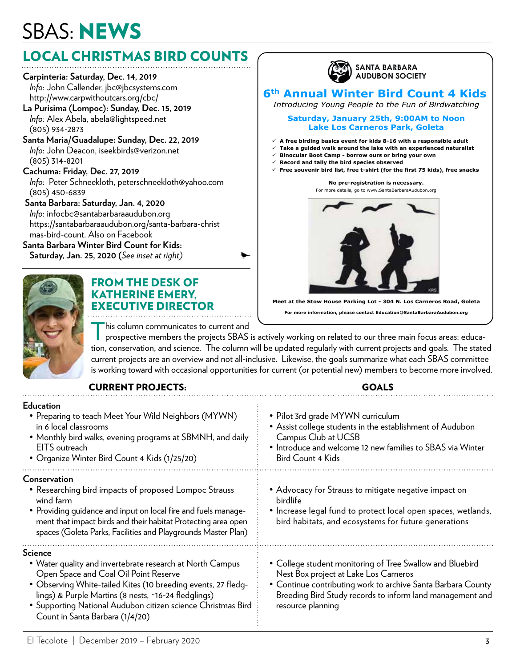## SBAS: NEWS

#### LOCAL CHRISTMAS BIRD COUNTS

**Carpinteria: Saturday, Dec. 14, 2019**  *Info*: John Callender, jbc@jbcsystems.com http://www.carpwithoutcars.org/cbc/ **La Purisima (Lompoc): Sunday, Dec. 15, 2019**  *Info:* Alex Abela, abela@lightspeed.net (805) 934-2873 **Santa Maria/Guadalupe: Sunday, Dec. 22, 2019**  *Info*: John Deacon, iseekbirds@verizon.net (805) 314-8201 **Cachuma: Friday, Dec. 27, 2019**  *Info*: Peter Schneekloth, peterschneekloth@yahoo.com (805) 450-6839 **Santa Barbara: Saturday, Jan. 4, 2020**  *Info*: infocbc@santabarbaraaudubon.org https://santabarbaraaudubon.org/santa-barbara-christ mas-bird-count. Also on Facebook **Santa Barbara Winter Bird Count for Kids: Saturday, Jan. 25, 2020 (***See inset at right)* 



#### FROM THE DESK OF KATHERINE EMERY, EXECUTIVE DIRECTOR

his column communicates to current and

T prospective members the projects SBAS is actively working on related to our three main focus areas: education, conservation, and science. The column will be updated regularly with current projects and goals. The stated current projects are an overview and not all-inclusive. Likewise, the goals summarize what each SBAS committee is working toward with occasional opportunities for current (or potential new) members to become more involved.

CURRENT PROJECTS: GOALS

#### **Education** • Preparing to teach Meet Your Wild Neighbors (MYWN) • Pilot 3rd grade MYWN curriculum • Assist college students in the establishment of Audubon in 6 local classrooms Campus Club at UCSB • Monthly bird walks, evening programs at SBMNH, and daily EITS outreach • Introduce and welcome 12 new families to SBAS via Winter • Organize Winter Bird Count 4 Kids (1/25/20) Bird Count 4 Kids **Conservation** • Researching bird impacts of proposed Lompoc Strauss • Advocacy for Strauss to mitigate negative impact on birdlife wind farm • Providing guidance and input on local fire and fuels manage- • Increase legal fund to protect local open spaces, wetlands, ment that impact birds and their habitat Protecting area open bird habitats, and ecosystems for future generations spaces (Goleta Parks, Facilities and Playgrounds Master Plan) . . . . . . . . . . . . **Science** • Water quality and invertebrate research at North Campus • College student monitoring of Tree Swallow and Bluebird Open Space and Coal Oil Point Reserve Nest Box project at Lake Los Carneros • Continue contributing work to archive Santa Barbara County • Observing White-tailed Kites (10 breeding events, 27 fledglings) & Purple Martins (8 nests, ~16-24 fledglings) Breeding Bird Study records to inform land management and • Supporting National Audubon citizen science Christmas Bird resource planning Count in Santa Barbara (1/4/20)



**Meet at the Stow House Parking Lot - 304 N. Los Carneros Road, Goleta For more information, please contact Education@SantaBarbaraAudubon.org**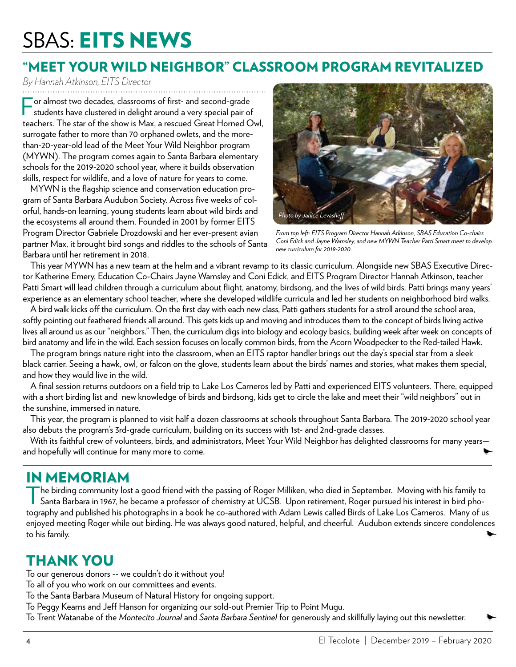## SBAS: EITS NEWS

#### "MEET YOUR WILD NEIGHBOR" CLASSROOM PROGRAM REVITALIZED

*By Hannah Atkinson, EITS Director*

F or almost two decades, classrooms of first- and second-grade students have clustered in delight around a very special pair of teachers. The star of the show is Max, a rescued Great Horned Owl, surrogate father to more than 70 orphaned owlets, and the morethan-20-year-old lead of the Meet Your Wild Neighbor program (MYWN). The program comes again to Santa Barbara elementary schools for the 2019-2020 school year, where it builds observation skills, respect for wildlife, and a love of nature for years to come.

MYWN is the flagship science and conservation education program of Santa Barbara Audubon Society. Across five weeks of colorful, hands-on learning, young students learn about wild birds and the ecosystems all around them. Founded in 2001 by former EITS Program Director Gabriele Drozdowski and her ever-present avian partner Max, it brought bird songs and riddles to the schools of Santa Barbara until her retirement in 2018.



*From top left: EITS Program Director Hannah Atkinson, SBAS Education Co-chairs Coni Edick and Jayne Wamsley, and new MYWN Teacher Patti Smart meet to develop new curriculum for 2019-2020.*

This year MYWN has a new team at the helm and a vibrant revamp to its classic curriculum. Alongside new SBAS Executive Director Katherine Emery, Education Co-Chairs Jayne Wamsley and Coni Edick, and EITS Program Director Hannah Atkinson, teacher Patti Smart will lead children through a curriculum about flight, anatomy, birdsong, and the lives of wild birds. Patti brings many years' experience as an elementary school teacher, where she developed wildlife curricula and led her students on neighborhood bird walks.

A bird walk kicks off the curriculum. On the first day with each new class, Patti gathers students for a stroll around the school area, softly pointing out feathered friends all around. This gets kids up and moving and introduces them to the concept of birds living active lives all around us as our "neighbors." Then, the curriculum digs into biology and ecology basics, building week after week on concepts of bird anatomy and life in the wild. Each session focuses on locally common birds, from the Acorn Woodpecker to the Red-tailed Hawk.

The program brings nature right into the classroom, when an EITS raptor handler brings out the day's special star from a sleek black carrier. Seeing a hawk, owl, or falcon on the glove, students learn about the birds' names and stories, what makes them special, and how they would live in the wild.

A final session returns outdoors on a field trip to Lake Los Carneros led by Patti and experienced EITS volunteers. There, equipped with a short birding list and new knowledge of birds and birdsong, kids get to circle the lake and meet their "wild neighbors" out in the sunshine, immersed in nature.

This year, the program is planned to visit half a dozen classrooms at schools throughout Santa Barbara. The 2019-2020 school year also debuts the program's 3rd-grade curriculum, building on its success with 1st- and 2nd-grade classes.

With its faithful crew of volunteers, birds, and administrators, Meet Your Wild Neighbor has delighted classrooms for many years and hopefully will continue for many more to come.

#### IN MEMORIAM

The birding community lost a good friend with the passing of Roger Milliken, who died in September. Moving with his family to Santa Barbara in 1967, he became a professor of chemistry at UCSB. Upon retirement, Roger pursue he birding community lost a good friend with the passing of Roger Milliken, who died in September. Moving with his family to tography and published his photographs in a book he co-authored with Adam Lewis called Birds of Lake Los Carneros. Many of us enjoyed meeting Roger while out birding. He was always good natured, helpful, and cheerful. Audubon extends sincere condolences to his family.

#### THANK YOU

To our generous donors -- we couldn't do it without you!

To all of you who work on our committees and events.

To the Santa Barbara Museum of Natural History for ongoing support.

To Peggy Kearns and Jeff Hanson for organizing our sold-out Premier Trip to Point Mugu.

To Trent Watanabe of the *Montecito Journal* and *Santa Barbara Sentinel* for generously and skillfully laying out this newsletter.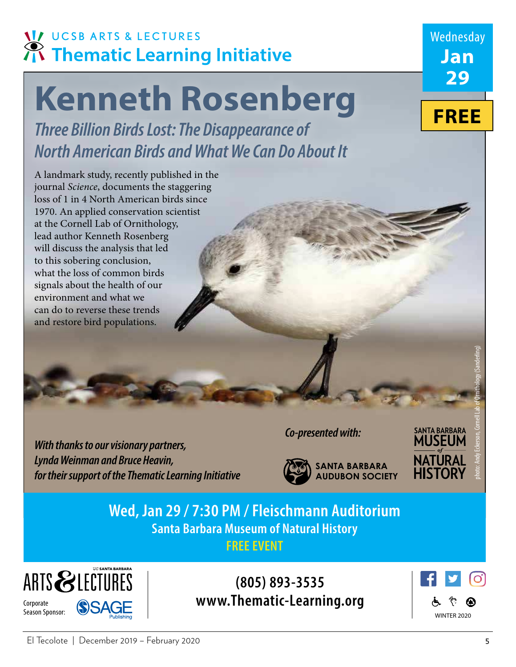## **VI UCSB ARTS & LECTURES** Thematic Learning Initiative

# **Kenneth Rosenberg**

**Three Billion Birds Lost: The Disappearance of North American Birds and What We Can Do About It**

A landmark study, recently published in the journal Science, documents the staggering loss of 1 in 4 North American birds since 1970. An applied conservation scientist at the Cornell Lab of Ornithology, lead author Kenneth Rosenberg will discuss the analysis that led to this sobering conclusion, what the loss of common birds signals about the health of our environment and what we can do to reverse these trends and restore bird populations.

**With thanks to our visionary partners, Lynda Weinman and Bruce Heavin, for their support of the Thematic Learning Initiative** **Co-presented with:**



**Wed, Jan 29 / 7:30 PM / Fleischmann Auditorium Santa Barbara Museum of Natural History FREE EVENT**



**(805) 893-3535 www.Thematic-Learning.org**



**FREE**

Wednesday

**Jan**

**29**

photo: Andy Eckerson, Cornell Lab of Ornithology (Sanderling)

**SANTA BARBARA**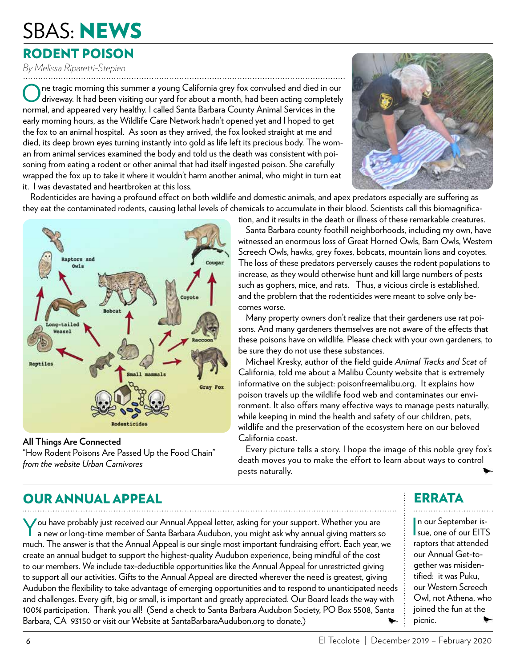## SBAS: NEWS

#### RODENT POISON

*By Melissa Riparetti-Stepien*

O ne tragic morning this summer a young California grey fox convulsed and died in our driveway. It had been visiting our yard for about a month, had been acting completely normal, and appeared very healthy. I called Santa Barbara County Animal Services in the early morning hours, as the Wildlife Care Network hadn't opened yet and I hoped to get the fox to an animal hospital. As soon as they arrived, the fox looked straight at me and died, its deep brown eyes turning instantly into gold as life left its precious body. The woman from animal services examined the body and told us the death was consistent with poisoning from eating a rodent or other animal that had itself ingested poison. She carefully wrapped the fox up to take it where it wouldn't harm another animal, who might in turn eat it. I was devastated and heartbroken at this loss.



Rodenticides are having a profound effect on both wildlife and domestic animals, and apex predators especially are suffering as they eat the contaminated rodents, causing lethal levels of chemicals to accumulate in their blood. Scientists call this biomagnifica-



**All Things Are Connected** "How Rodent Poisons Are Passed Up the Food Chain" *from the website Urban Carnivores*

tion, and it results in the death or illness of these remarkable creatures.

Santa Barbara county foothill neighborhoods, including my own, have witnessed an enormous loss of Great Horned Owls, Barn Owls, Western Screech Owls, hawks, grey foxes, bobcats, mountain lions and coyotes. The loss of these predators perversely causes the rodent populations to increase, as they would otherwise hunt and kill large numbers of pests such as gophers, mice, and rats. Thus, a vicious circle is established, and the problem that the rodenticides were meant to solve only becomes worse.

Many property owners don't realize that their gardeners use rat poisons. And many gardeners themselves are not aware of the effects that these poisons have on wildlife. Please check with your own gardeners, to be sure they do not use these substances.

Michael Kresky, author of the field guide *Animal Tracks and Scat* of California, told me about a Malibu County website that is extremely informative on the subject: poisonfreemalibu.org. It explains how poison travels up the wildlife food web and contaminates our environment. It also offers many effective ways to manage pests naturally, while keeping in mind the health and safety of our children, pets, wildlife and the preservation of the ecosystem here on our beloved California coast.

Every picture tells a story. I hope the image of this noble grey fox's death moves you to make the effort to learn about ways to control pests naturally.

#### OUR ANNUAL APPEAL

You have probably just received our Annual Appeal letter, asking for your support. Whether you are<br>a new or long-time member of Santa Barbara Audubon, you might ask why annual giving matters so a new or long-time member of Santa Barbara Audubon, you might ask why annual giving matters so much. The answer is that the Annual Appeal is our single most important fundraising effort. Each year, we create an annual budget to support the highest-quality Audubon experience, being mindful of the cost to our members. We include tax-deductible opportunities like the Annual Appeal for unrestricted giving to support all our activities. Gifts to the Annual Appeal are directed wherever the need is greatest, giving Audubon the flexibility to take advantage of emerging opportunities and to respond to unanticipated needs and challenges. Every gift, big or small, is important and greatly appreciated. Our Board leads the way with 100% participation. Thank you all! (Send a check to Santa Barbara Audubon Society, PO Box 5508, Santa Barbara, CA 93150 or visit our Website at SantaBarbaraAudubon.org to donate.)

#### ERRATA

In our September is-<br>
sue, one of our EITS n our September israptors that attended our Annual Get-together was misidentified: it was Puku, our Western Screech Owl, not Athena, who joined the fun at the picnic.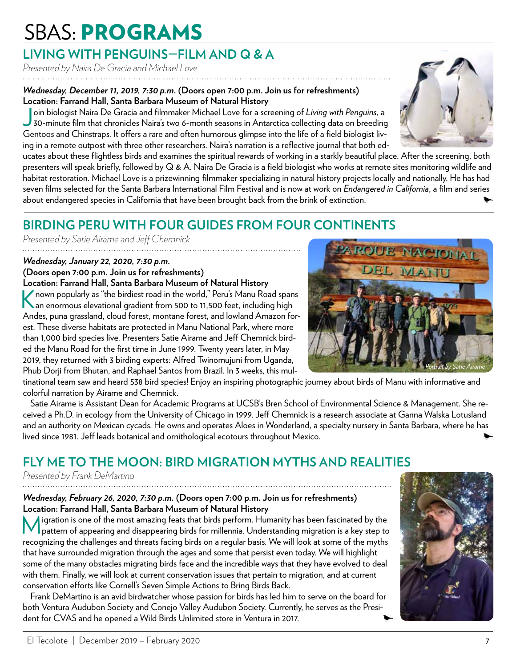## SBAS: PROGRAMS

#### **LIVING WITH PENGUINS—FILM AND Q & A**

*Presented by Naira De Gracia and Michael Love* 

#### *Wednesday, December 11, 2019, 7:30 p.m***. (Doors open 7:00 p.m. Join us for refreshments) Location: Farrand Hall, Santa Barbara Museum of Natural History**

Join biologist Naira De Gracia and filmmaker Michael Love for a screening of *Living with Penguins*, a<br>30-minute film that chronicles Naira's two 6-month seasons in Antarctica collecting data on breeding oin biologist Naira De Gracia and filmmaker Michael Love for a screening of *Living with Penguins*, a Gentoos and Chinstraps. It offers a rare and often humorous glimpse into the life of a field biologist living in a remote outpost with three other researchers. Naira's narration is a reflective journal that both ed-

ucates about these flightless birds and examines the spiritual rewards of working in a starkly beautiful place. After the screening, both presenters will speak briefly, followed by Q & A. Naira De Gracia is a field biologist who works at remote sites monitoring wildlife and habitat restoration. Michael Love is a prizewinning filmmaker specializing in natural history projects locally and nationally. He has had seven films selected for the Santa Barbara International Film Festival and is now at work on *Endangered in California*, a film and series about endangered species in California that have been brought back from the brink of extinction.

### **BIRDING PERU WITH FOUR GUIDES FROM FOUR CONTINENTS**

*Presented by Satie Airame and Jeff Chemnick*

#### *Wednesday, January 22, 2020, 7:30 p.m.*

#### **(Doors open 7:00 p.m. Join us for refreshments) Location: Farrand Hall, Santa Barbara Museum of Natural History**

K nown popularly as "the birdiest road in the world," Peru's Manu Road spans<br>An enormous elevational gradient from 500 to 11,500 feet, including high an enormous elevational gradient from 500 to 11,500 feet, including high Andes, puna grassland, cloud forest, montane forest, and lowland Amazon forest. These diverse habitats are protected in Manu National Park, where more than 1,000 bird species live. Presenters Satie Airame and Jeff Chemnick birded the Manu Road for the first time in June 1999. Twenty years later, in May 2019, they returned with 3 birding experts: Alfred Twinomujuni from Uganda, Phub Dorji from Bhutan, and Raphael Santos from Brazil. In 3 weeks, this mul-

tinational team saw and heard 538 bird species! Enjoy an inspiring photographic journey about birds of Manu with informative and colorful narration by Airame and Chemnick.

Satie Airame is Assistant Dean for Academic Programs at UCSB's Bren School of Environmental Science & Management. She received a Ph.D. in ecology from the University of Chicago in 1999. Jeff Chemnick is a research associate at Ganna Walska Lotusland and an authority on Mexican cycads. He owns and operates Aloes in Wonderland, a specialty nursery in Santa Barbara, where he has lived since 1981. Jeff leads botanical and ornithological ecotours throughout Mexico.

#### **FLY ME TO THE MOON: BIRD MIGRATION MYTHS AND REALITIES**

*Presented by Frank DeMartino*

#### *Wednesday, February 26, 2020, 7:30 p.m.* **(Doors open 7:00 p.m. Join us for refreshments) Location: Farrand Hall, Santa Barbara Museum of Natural History**

M igration is one of the most amazing feats that birds perform. Humanity has been fascinated by the pattern of appearing and disappearing birds for millennia. Understanding migration is a key step to recognizing the challenges and threats facing birds on a regular basis. We will look at some of the myths that have surrounded migration through the ages and some that persist even today. We will highlight some of the many obstacles migrating birds face and the incredible ways that they have evolved to deal with them. Finally, we will look at current conservation issues that pertain to migration, and at current conservation efforts like Cornell's Seven Simple Actions to Bring Birds Back.

Frank DeMartino is an avid birdwatcher whose passion for birds has led him to serve on the board for both Ventura Audubon Society and Conejo Valley Audubon Society. Currently, he serves as the President for CVAS and he opened a Wild Birds Unlimited store in Ventura in 2017.





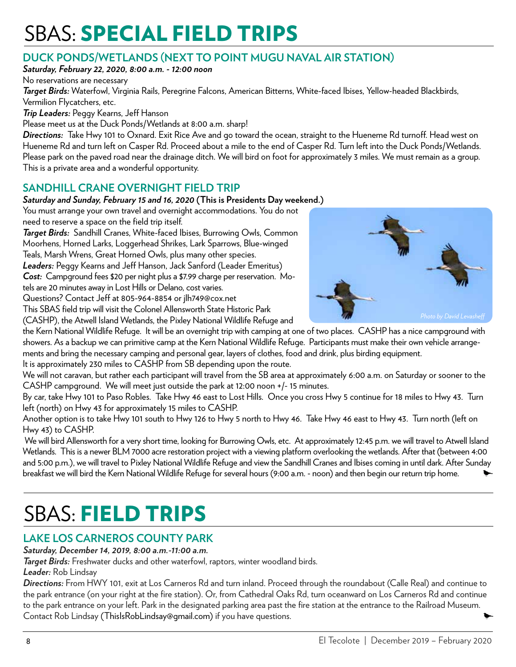## **SBAS: SPECIAL FIELD TRIPS**

#### **DUCK PONDS/WETLANDS (NEXT TO POINT MUGU NAVAL AIR STATION)**

*Saturday, February 22, 2020, 8:00 a.m. - 12:00 noon*

No reservations are necessary

*Target Birds:* Waterfowl, Virginia Rails, Peregrine Falcons, American Bitterns, White-faced Ibises, Yellow-headed Blackbirds, Vermilion Flycatchers, etc.

*Trip Leaders:* Peggy Kearns, Jeff Hanson

Please meet us at the Duck Ponds/Wetlands at 8:00 a.m. sharp!

*Directions:* Take Hwy 101 to Oxnard. Exit Rice Ave and go toward the ocean, straight to the Hueneme Rd turnoff. Head west on Hueneme Rd and turn left on Casper Rd. Proceed about a mile to the end of Casper Rd. Turn left into the Duck Ponds/Wetlands. Please park on the paved road near the drainage ditch. We will bird on foot for approximately 3 miles. We must remain as a group. This is a private area and a wonderful opportunity.

#### **SANDHILL CRANE OVERNIGHT FIELD TRIP**

#### *Saturday and Sunday, February 15 and 16, 2020* **(This is Presidents Day weekend.)**

You must arrange your own travel and overnight accommodations. You do not need to reserve a space on the field trip itself.

*Target Birds:* Sandhill Cranes, White-faced Ibises, Burrowing Owls, Common Moorhens, Horned Larks, Loggerhead Shrikes, Lark Sparrows, Blue-winged Teals, Marsh Wrens, Great Horned Owls, plus many other species. *Leaders:* Peggy Kearns and Jeff Hanson, Jack Sanford (Leader Emeritus) *Cost:* Campground fees \$20 per night plus a \$7.99 charge per reservation. Mo-

tels are 20 minutes away in Lost Hills or Delano, cost varies.

Questions? Contact Jeff at 805-964-8854 or jlh749@cox.net

This SBAS field trip will visit the Colonel Allensworth State Historic Park

(CASHP), the Atwell Island Wetlands, the Pixley National Wildlife Refuge and



the Kern National Wildlife Refuge. It will be an overnight trip with camping at one of two places. CASHP has a nice campground with showers. As a backup we can primitive camp at the Kern National Wildlife Refuge. Participants must make their own vehicle arrangements and bring the necessary camping and personal gear, layers of clothes, food and drink, plus birding equipment.

It is approximately 230 miles to CASHP from SB depending upon the route.

We will not caravan, but rather each participant will travel from the SB area at approximately 6:00 a.m. on Saturday or sooner to the CASHP campground. We will meet just outside the park at 12:00 noon +/- 15 minutes.

By car, take Hwy 101 to Paso Robles. Take Hwy 46 east to Lost Hills. Once you cross Hwy 5 continue for 18 miles to Hwy 43. Turn left (north) on Hwy 43 for approximately 15 miles to CASHP.

Another option is to take Hwy 101 south to Hwy 126 to Hwy 5 north to Hwy 46. Take Hwy 46 east to Hwy 43. Turn north (left on Hwy 43) to CASHP.

 We will bird Allensworth for a very short time, looking for Burrowing Owls, etc. At approximately 12:45 p.m. we will travel to Atwell Island Wetlands. This is a newer BLM 7000 acre restoration project with a viewing platform overlooking the wetlands. After that (between 4:00 and 5:00 p.m.), we will travel to Pixley National Wildlife Refuge and view the Sandhill Cranes and Ibises coming in until dark. After Sunday breakfast we will bird the Kern National Wildlife Refuge for several hours (9:00 a.m. - noon) and then begin our return trip home.

## **SBAS: FIELD TRIPS**

#### **LAKE LOS CARNEROS COUNTY PARK**

*Saturday, December 14, 2019, 8:00 a.m.-11:00 a.m.*

*Target Birds:* Freshwater ducks and other waterfowl, raptors, winter woodland birds.

*Leader:* Rob Lindsay

*Directions:* From HWY 101, exit at Los Carneros Rd and turn inland. Proceed through the roundabout (Calle Real) and continue to the park entrance (on your right at the fire station). Or, from Cathedral Oaks Rd, turn oceanward on Los Carneros Rd and continue to the park entrance on your left. Park in the designated parking area past the fire station at the entrance to the Railroad Museum. Contact Rob Lindsay (ThisIsRobLindsay@gmail.com) if you have questions.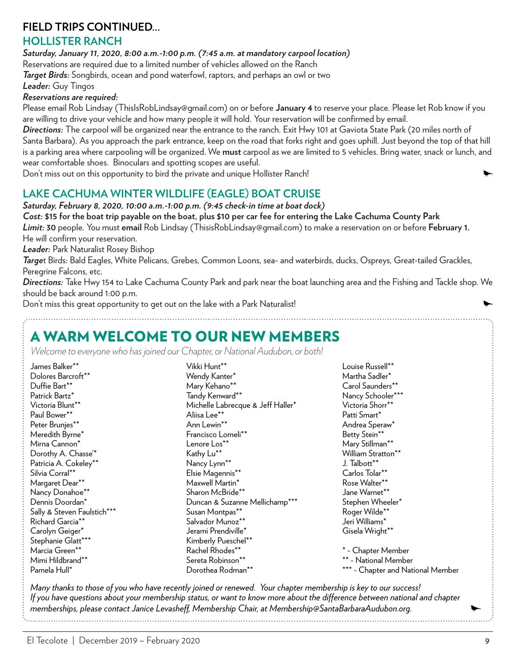#### **FIELD TRIPS CONTINUED...**

#### **HOLLISTER RANCH**

*Saturday, January 11, 2020, 8:00 a.m.-1:00 p.m. (7:45 a.m. at mandatory carpool location)* Reservations are required due to a limited number of vehicles allowed on the Ranch

*Target Birds:* Songbirds, ocean and pond waterfowl, raptors, and perhaps an owl or two

*Leader:* Guy Tingos

#### *Reservations are required:*

Please email Rob Lindsay (ThisIsRobLindsay@gmail.com) on or before **January 4** to reserve your place. Please let Rob know if you are willing to drive your vehicle and how many people it will hold. Your reservation will be confirmed by email.

*Directions:* The carpool will be organized near the entrance to the ranch. Exit Hwy 101 at Gaviota State Park (20 miles north of Santa Barbara). As you approach the park entrance, keep on the road that forks right and goes uphill. Just beyond the top of that hill is a parking area where carpooling will be organized. We **must** carpool as we are limited to 5 vehicles. Bring water, snack or lunch, and wear comfortable shoes. Binoculars and spotting scopes are useful.

Don't miss out on this opportunity to bird the private and unique Hollister Ranch!

#### **LAKE CACHUMA WINTER WILDLIFE (EAGLE) BOAT CRUISE**

*Saturday, February 8, 2020, 10:00 a.m.-1:00 p.m. (9:45 check-in time at boat dock)*

*Cost:* **\$15 for the boat trip payable on the boat, plus \$10 per car fee for entering the Lake Cachuma County Park** *Limit:* **30** people. You must **email** Rob Lindsay (ThisisRobLindsay@gmail.com) to make a reservation on or before **February 1.**  He will confirm your reservation.

*Leader:* Park Naturalist Rosey Bishop

*Targe*t Birds: Bald Eagles, White Pelicans, Grebes, Common Loons, sea- and waterbirds, ducks, Ospreys, Great-tailed Grackles, Peregrine Falcons, etc.

*Directions:* Take Hwy 154 to Lake Cachuma County Park and park near the boat launching area and the Fishing and Tackle shop. We should be back around 1:00 p.m.

Don't miss this great opportunity to get out on the lake with a Park Naturalist!

#### A WARM WELCOME TO OUR NEW MEMBERS

*Welcome to everyone who has joined our Chapter, or National Audubon, or both!*

James Balker\*\* Dolores Barcroft\*\* Duffie Bart\*\* Patrick Bartz\* Victoria Blunt\*\* Paul Bower\*\* Peter Brunies\*\* Meredith Byrne\* Mirna Cannon\* Dorothy A. Chasse'\* Patricia A. Cokeley\*\* Silvia Corral\*\* Margaret Dear\*\* Nancy Donahoe\*\* Dennis Doordan\* Sally & Steven Faulstich\*\*\* Richard Garcia\*\* Carolyn Geiger\* Stephanie Glatt\*\*\* Marcia Green\*\* Mimi Hildbrand\*\* Pamela Hull\* Vikki Hunt\*\* Wendy Kanter\* Mary Kehano\*\* Tandy Kenward\*\* Michelle Labrecque & Jeff Haller\* Aliisa Lee\*\* Ann Lewin\*\* Francisco Lomeli\*\* Lenore Los\*\* Kathy Lu\*\* Nancy Lynn\*\* Elsie Magennis\*\* Maxwell Martin\* Sharon McBride\*\* Duncan & Suzanne Mellichamp\*\*\* Susan Montpas\*\* Salvador Munoz\*\* Jerami Prendiville\* Kimberly Pueschel\*\* Rachel Rhodes\*\* Sereta Robinson\*\* Dorothea Rodman\*\* Louise Russell\*\* Martha Sadler\* Carol Saunders\*\* Nancy Schooler\*\*\* Victoria Shorr\*\* Patti Smart\* Andrea Speraw\* Betty Stein\*\* Mary Stillman\*\* William Stratton\*\* J. Talbott\*\* Carlos Tolar\*\* Rose Walter\*\* Jane Warnet\*\* Stephen Wheeler\* Roger Wilde\*\* Jeri Williams\* Gisela Wright\*\* \* - Chapter Member \*\* - National Member \*\*\* - Chapter and National Member

*Many thanks to those of you who have recently joined or renewed. Your chapter membership is key to our success! If you have questions about your membership status, or want to know more about the difference between national and chapter memberships, please contact Janice Levasheff, Membership Chair, at Membership@SantaBarbaraAudubon.org.*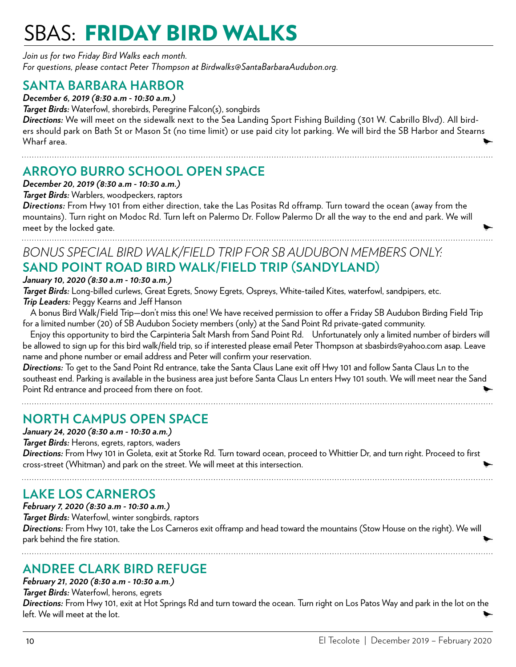## **SBAS: FRIDAY BIRD WALKS**

*Join us for two Friday Bird Walks each month. For questions, please contact Peter Thompson at Birdwalks@SantaBarbaraAudubon.org.*

#### **SANTA BARBARA HARBOR**

*December 6, 2019 (8:30 a.m - 10:30 a.m.)*

*Target Birds:* Waterfowl, shorebirds, Peregrine Falcon(s), songbirds

*Directions:* We will meet on the sidewalk next to the Sea Landing Sport Fishing Building (301 W. Cabrillo Blvd). All birders should park on Bath St or Mason St (no time limit) or use paid city lot parking. We will bird the SB Harbor and Stearns Wharf area.

#### **ARROYO BURRO SCHOOL OPEN SPACE**

*December 20, 2019 (8:30 a.m - 10:30 a.m.)*

*Target Birds:* Warblers, woodpeckers, raptors

*Directions:* From Hwy 101 from either direction, take the Las Positas Rd offramp. Turn toward the ocean (away from the mountains). Turn right on Modoc Rd. Turn left on Palermo Dr. Follow Palermo Dr all the way to the end and park. We will meet by the locked gate.

#### *BONUS SPECIAL BIRD WALK/FIELD TRIP FOR SB AUDUBON MEMBERS ONLY:* **SAND POINT ROAD BIRD WALK/FIELD TRIP (SANDYLAND)**

#### *January 10, 2020 (8:30 a.m - 10:30 a.m.)*

*Target Birds:* Long-billed curlews, Great Egrets, Snowy Egrets, Ospreys, White-tailed Kites, waterfowl, sandpipers, etc. *Trip Leaders:* Peggy Kearns and Jeff Hanson

A bonus Bird Walk/Field Trip—don't miss this one! We have received permission to offer a Friday SB Audubon Birding Field Trip for a limited number (20) of SB Audubon Society members (only) at the Sand Point Rd private-gated community.

Enjoy this opportunity to bird the Carpinteria Salt Marsh from Sand Point Rd. Unfortunately only a limited number of birders will be allowed to sign up for this bird walk/field trip, so if interested please email Peter Thompson at sbasbirds@yahoo.com asap. Leave name and phone number or email address and Peter will confirm your reservation.

*Directions:* To get to the Sand Point Rd entrance, take the Santa Claus Lane exit off Hwy 101 and follow Santa Claus Ln to the southeast end. Parking is available in the business area just before Santa Claus Ln enters Hwy 101 south. We will meet near the Sand Point Rd entrance and proceed from there on foot.

#### **NORTH CAMPUS OPEN SPACE**

#### *January 24, 2020 (8:30 a.m - 10:30 a.m.)*

*Target Birds:* Herons, egrets, raptors, waders

*Directions:* From Hwy 101 in Goleta, exit at Storke Rd. Turn toward ocean, proceed to Whittier Dr, and turn right. Proceed to first cross-street (Whitman) and park on the street. We will meet at this intersection.

#### **LAKE LOS CARNEROS**

*February 7, 2020 (8:30 a.m - 10:30 a.m.) Target Birds:* Waterfowl, winter songbirds, raptors *Directions:* From Hwy 101, take the Los Carneros exit offramp and head toward the mountains (Stow House on the right). We will park behind the fire station.

#### **ANDREE CLARK BIRD REFUGE**

*February 21, 2020 (8:30 a.m - 10:30 a.m.) Target Birds:* Waterfowl, herons, egrets

*Directions:* From Hwy 101, exit at Hot Springs Rd and turn toward the ocean. Turn right on Los Patos Way and park in the lot on the left. We will meet at the lot.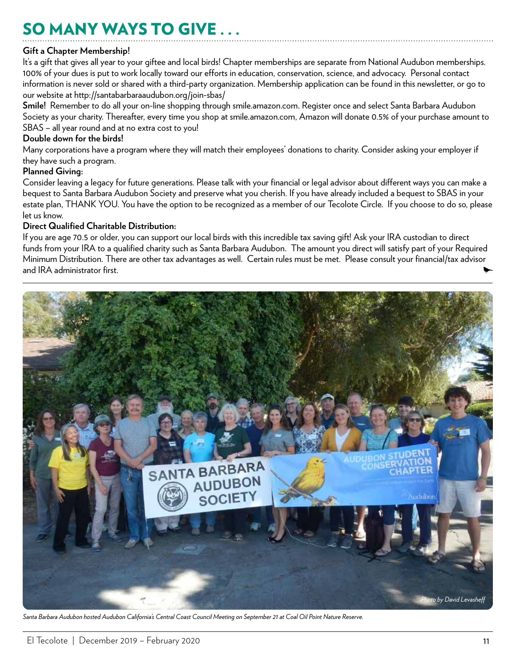## SO MANY WAYS TO GIVE . . .

#### **Gift a Chapter Membership!**

It's a gift that gives all year to your giftee and local birds! Chapter memberships are separate from National Audubon memberships. 100% of your dues is put to work locally toward our efforts in education, conservation, science, and advocacy. Personal contact information is never sold or shared with a third-party organization. Membership application can be found in this newsletter, or go to our website at http://santabarbaraaudubon.org/join-sbas/

**Smile!** Remember to do all your on-line shopping through smile.amazon.com. Register once and select Santa Barbara Audubon Society as your charity. Thereafter, every time you shop at smile.amazon.com, Amazon will donate 0.5% of your purchase amount to SBAS – all year round and at no extra cost to you!

#### **Double down for the birds!**

Many corporations have a program where they will match their employees' donations to charity. Consider asking your employer if they have such a program.

#### **Planned Giving:**

Consider leaving a legacy for future generations. Please talk with your financial or legal advisor about different ways you can make a bequest to Santa Barbara Audubon Society and preserve what you cherish. If you have already included a bequest to SBAS in your estate plan, THANK YOU. You have the option to be recognized as a member of our Tecolote Circle. If you choose to do so, please let us know.

#### **Direct Qualified Charitable Distribution:**

If you are age 70.5 or older, you can support our local birds with this incredible tax saving gift! Ask your IRA custodian to direct funds from your IRA to a qualified charity such as Santa Barbara Audubon. The amount you direct will satisfy part of your Required Minimum Distribution. There are other tax advantages as well. Certain rules must be met. Please consult your financial/tax advisor and IRA administrator first.



*Santa Barbara Audubon hosted Audubon California's Central Coast Council Meeting on September 21 at Coal Oil Point Nature Reserve.*